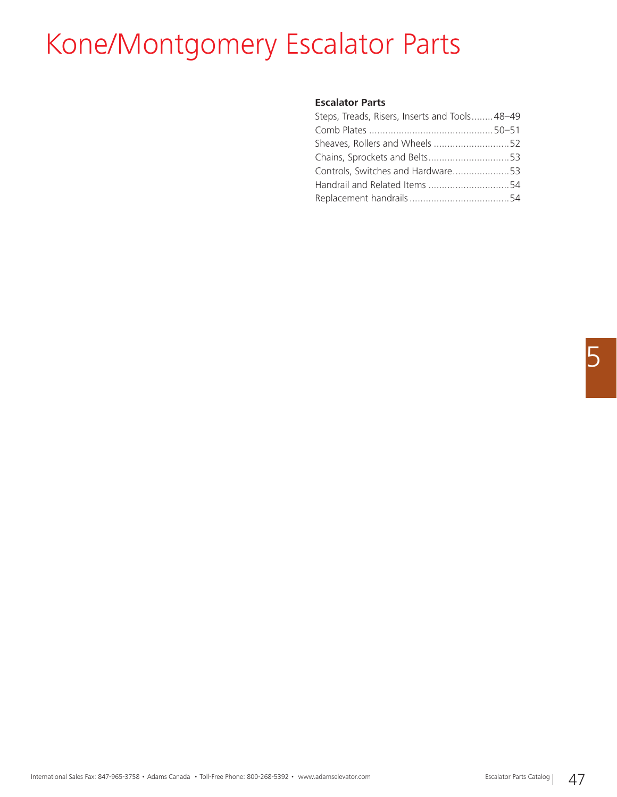### Kone/Montgomery Escalator Parts

#### **Escalator Parts**

| Steps, Treads, Risers, Inserts and Tools48-49 |  |
|-----------------------------------------------|--|
|                                               |  |
|                                               |  |
| Chains, Sprockets and Belts53                 |  |
| Controls, Switches and Hardware53             |  |
|                                               |  |
|                                               |  |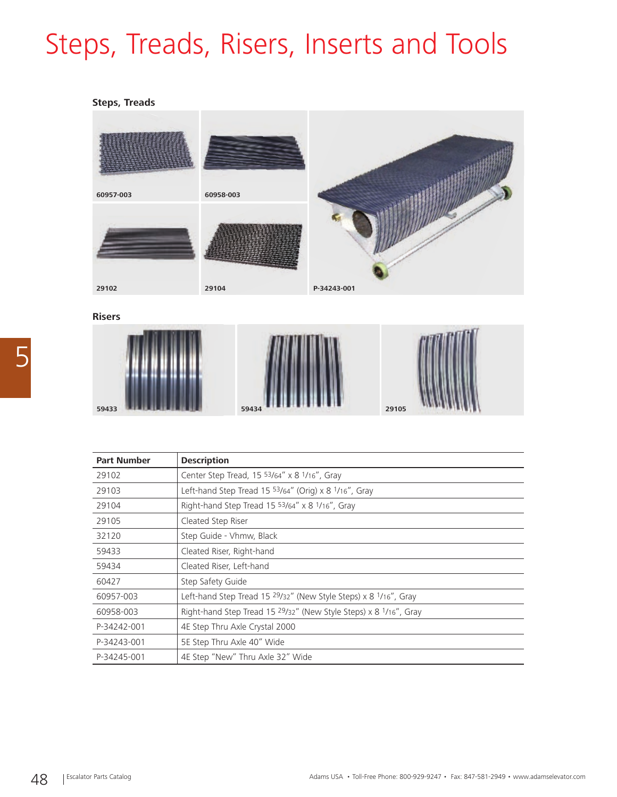### Steps, Treads, Risers, Inserts and Tools

**Steps, Treads**



**60957-003**







**Risers**



| <b>Part Number</b> | <b>Description</b>                                                                        |
|--------------------|-------------------------------------------------------------------------------------------|
| 29102              | Center Step Tread, 15 53/64" x 8 1/16", Gray                                              |
| 29103              | Left-hand Step Tread 15 $53/64$ " (Orig) x 8 $1/16$ ", Gray                               |
| 29104              | Right-hand Step Tread 15 $53/64''$ x 8 $1/16''$ , Gray                                    |
| 29105              | Cleated Step Riser                                                                        |
| 32120              | Step Guide - Vhmw, Black                                                                  |
| 59433              | Cleated Riser, Right-hand                                                                 |
| 59434              | Cleated Riser, Left-hand                                                                  |
| 60427              | Step Safety Guide                                                                         |
| 60957-003          | Left-hand Step Tread 15 <sup>29</sup> /32" (New Style Steps) x 8 <sup>1</sup> /16", Gray  |
| 60958-003          | Right-hand Step Tread 15 <sup>29</sup> /32" (New Style Steps) x 8 <sup>1</sup> /16", Gray |
| P-34242-001        | 4E Step Thru Axle Crystal 2000                                                            |
| P-34243-001        | 5E Step Thru Axle 40" Wide                                                                |
| P-34245-001        | 4E Step "New" Thru Axle 32" Wide                                                          |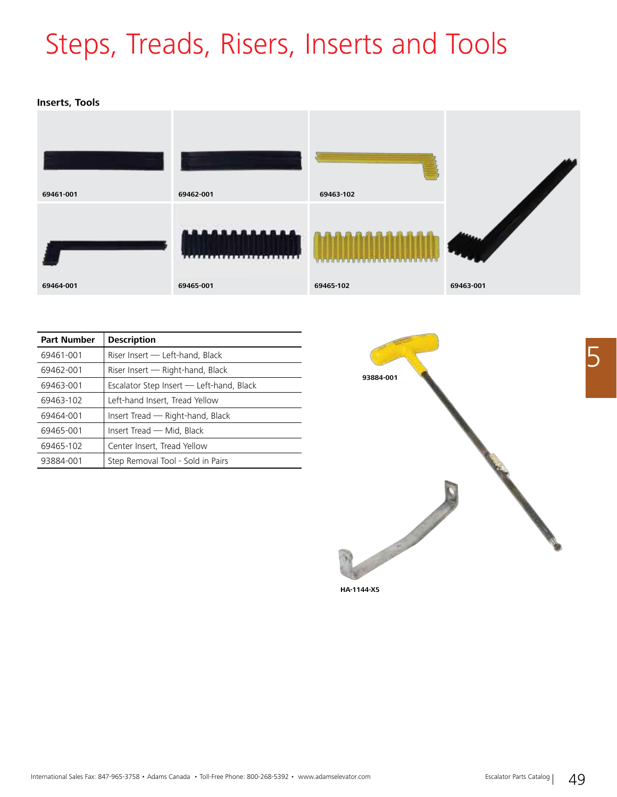## Steps, Treads, Risers, Inserts and Tools

**Inserts, Tools**



| <b>Part Number</b> | <b>Description</b>                       |
|--------------------|------------------------------------------|
| 69461-001          | Riser Insert — Left-hand, Black          |
| 69462-001          | Riser Insert — Right-hand, Black         |
| 69463-001          | Escalator Step Insert - Left-hand, Black |
| 69463-102          | Left-hand Insert, Tread Yellow           |
| 69464-001          | Insert Tread — Right-hand, Black         |
| 69465-001          | Insert Tread - Mid, Black                |
| 69465-102          | Center Insert, Tread Yellow              |
| 93884-001          | Step Removal Tool - Sold in Pairs        |



5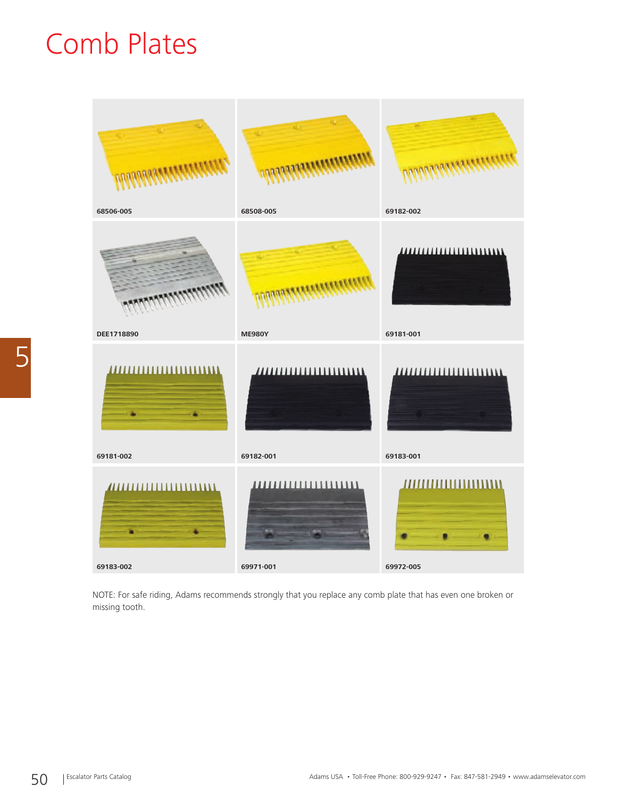#### Comb Plates



NOTE: For safe riding, Adams recommends strongly that you replace any comb plate that has even one broken or missing tooth.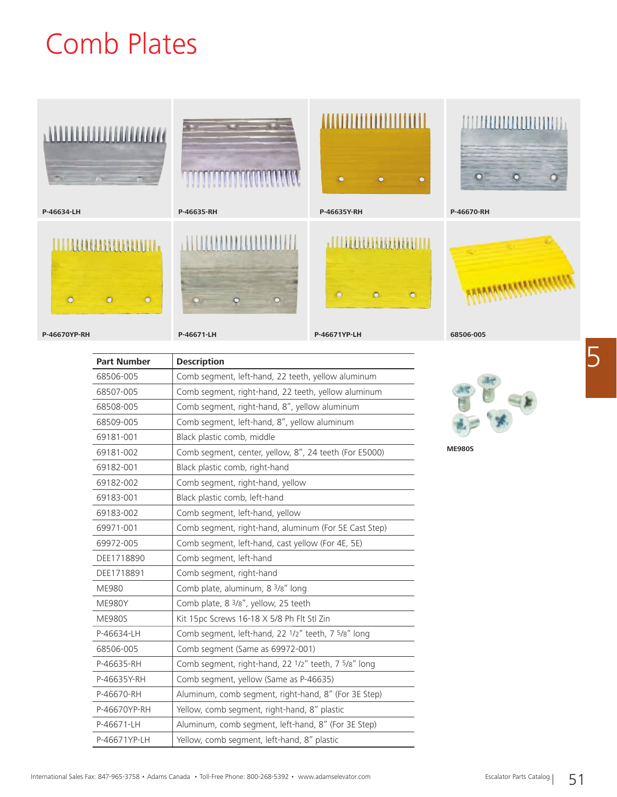# Comb Plates



**P-46670YP-RH P-46671-LH P-46671YP-LH 68506-005**



| <b>Part Number</b> | <b>Description</b>                                     |
|--------------------|--------------------------------------------------------|
| 68506-005          | Comb segment, left-hand, 22 teeth, yellow aluminum     |
| 68507-005          | Comb segment, right-hand, 22 teeth, yellow aluminum    |
| 68508-005          | Comb segment, right-hand, 8", yellow aluminum          |
| 68509-005          | Comb segment, left-hand, 8", yellow aluminum           |
| 69181-001          | Black plastic comb, middle                             |
| 69181-002          | Comb segment, center, yellow, 8", 24 teeth (For E5000) |
| 69182-001          | Black plastic comb, right-hand                         |
| 69182-002          | Comb segment, right-hand, yellow                       |
| 69183-001          | Black plastic comb, left-hand                          |
| 69183-002          | Comb segment, left-hand, yellow                        |
| 69971-001          | Comb segment, right-hand, aluminum (For 5E Cast Step)  |
| 69972-005          | Comb segment, left-hand, cast yellow (For 4E, 5E)      |
| DEE1718890         | Comb segment, left-hand                                |
| DEE1718891         | Comb segment, right-hand                               |
| <b>ME980</b>       | Comb plate, aluminum, 8 3/8" long                      |
| <b>ME980Y</b>      | Comb plate, 8 <sup>3</sup> /8", yellow, 25 teeth       |
| <b>ME980S</b>      | Kit 15pc Screws 16-18 X 5/8 Ph Flt Stl Zin             |
| P-46634-LH         | Comb segment, left-hand, 22 1/2" teeth, 7 5/8" long    |
| 68506-005          | Comb segment (Same as 69972-001)                       |
| P-46635-RH         | Comb segment, right-hand, 22 1/2" teeth, 7 5/8" long   |
| P-46635Y-RH        | Comb segment, yellow (Same as P-46635)                 |
| P-46670-RH         | Aluminum, comb segment, right-hand, 8" (For 3E Step)   |
| P-46670YP-RH       | Yellow, comb segment, right-hand, 8" plastic           |
| P-46671-LH         | Aluminum, comb segment, left-hand, 8" (For 3E Step)    |
| P-46671YP-LH       | Yellow, comb segment, left-hand, 8" plastic            |



**ME980S**

5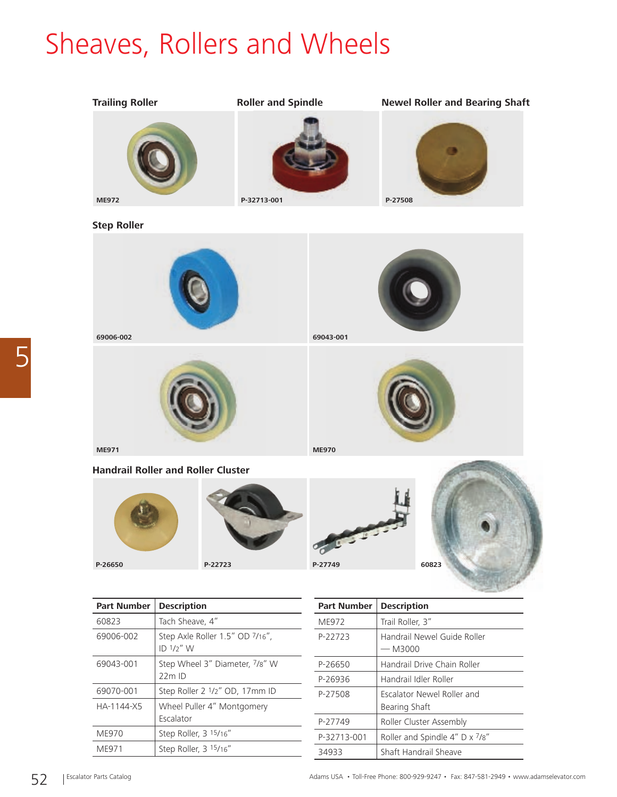# Sheaves, Rollers and Wheels



|       | Escalator             |
|-------|-----------------------|
| MF970 | Step Roller, 3 15/16" |
| MF971 | Step Roller, 3 15/16" |
|       |                       |

ID 1/2" W 69043-001 Step Wheel 3" Diameter, 7/8" W 22m ID

69070-001 Step Roller 2 1/2" OD, 17mm ID HA-1144-X5 Wheel Puller 4" Montgomery

| ME972       | Trail Roller, 3"                            |
|-------------|---------------------------------------------|
| P-22723     | Handrail Newel Guide Roller<br>$-$ M3000    |
| P-26650     | Handrail Drive Chain Roller                 |
| P-26936     | Handrail Idler Roller                       |
| P-27508     | Escalator Newel Roller and<br>Bearing Shaft |
| P-27749     | Roller Cluster Assembly                     |
| P-32713-001 | Roller and Spindle 4" D x 7/8"              |
| 34933       | Shaft Handrail Sheave                       |
|             |                                             |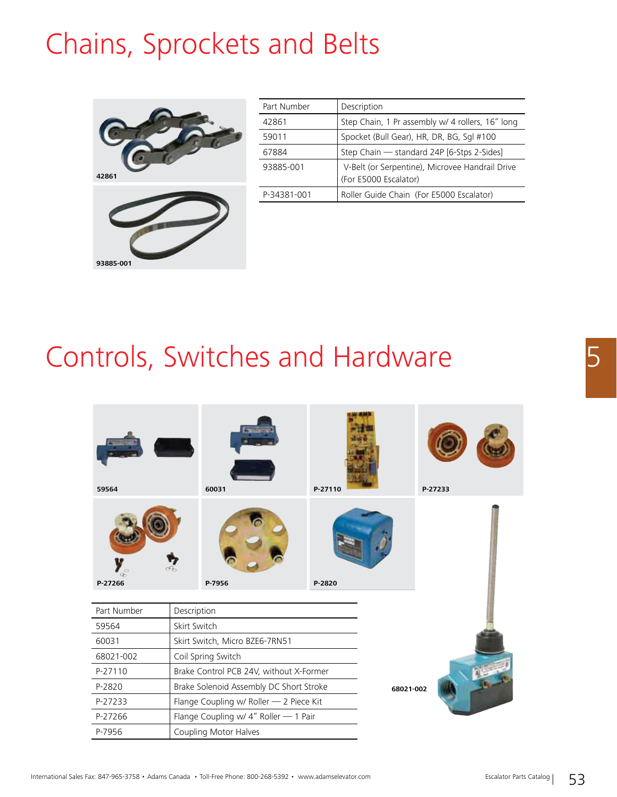# Chains, Sprockets and Belts



| Part Number | Description                                                              |
|-------------|--------------------------------------------------------------------------|
| 42861       | Step Chain, 1 Pr assembly w/ 4 rollers, 16" long                         |
| 59011       | Spocket (Bull Gear), HR, DR, BG, Sql #100                                |
| 67884       | Step Chain - standard 24P [6-Stps 2-Sides]                               |
| 93885-001   | V-Belt (or Serpentine), Microvee Handrail Drive<br>(For E5000 Escalator) |
| P-34381-001 | Roller Guide Chain (For E5000 Escalator)                                 |

#### Controls, Switches and Hardware



5